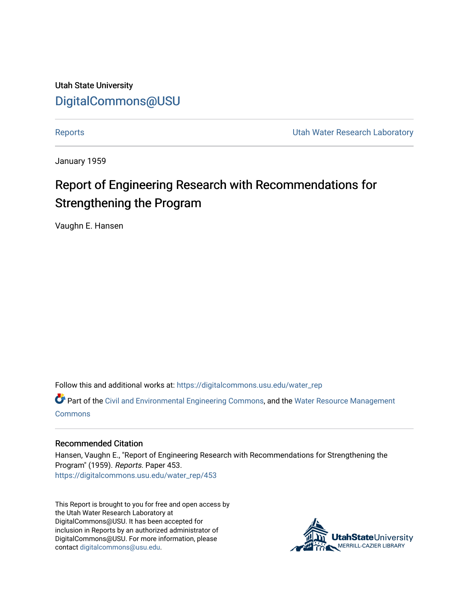Utah State University [DigitalCommons@USU](https://digitalcommons.usu.edu/)

[Reports](https://digitalcommons.usu.edu/water_rep) **Exercise Exercise Exercise Exercise Contract Contract Contract Contract Contract Contract Contract Contract Contract Contract Contract Contract Contract Contract Contract Contract Contract Contract Contract Contra** 

January 1959

# Report of Engineering Research with Recommendations for Strengthening the Program

Vaughn E. Hansen

Follow this and additional works at: [https://digitalcommons.usu.edu/water\\_rep](https://digitalcommons.usu.edu/water_rep?utm_source=digitalcommons.usu.edu%2Fwater_rep%2F453&utm_medium=PDF&utm_campaign=PDFCoverPages) 

Part of the [Civil and Environmental Engineering Commons](http://network.bepress.com/hgg/discipline/251?utm_source=digitalcommons.usu.edu%2Fwater_rep%2F453&utm_medium=PDF&utm_campaign=PDFCoverPages), and the [Water Resource Management](http://network.bepress.com/hgg/discipline/1057?utm_source=digitalcommons.usu.edu%2Fwater_rep%2F453&utm_medium=PDF&utm_campaign=PDFCoverPages) **[Commons](http://network.bepress.com/hgg/discipline/1057?utm_source=digitalcommons.usu.edu%2Fwater_rep%2F453&utm_medium=PDF&utm_campaign=PDFCoverPages)** 

#### Recommended Citation

Hansen, Vaughn E., "Report of Engineering Research with Recommendations for Strengthening the Program" (1959). Reports. Paper 453. [https://digitalcommons.usu.edu/water\\_rep/453](https://digitalcommons.usu.edu/water_rep/453?utm_source=digitalcommons.usu.edu%2Fwater_rep%2F453&utm_medium=PDF&utm_campaign=PDFCoverPages)

This Report is brought to you for free and open access by the Utah Water Research Laboratory at DigitalCommons@USU. It has been accepted for inclusion in Reports by an authorized administrator of DigitalCommons@USU. For more information, please contact [digitalcommons@usu.edu](mailto:digitalcommons@usu.edu).

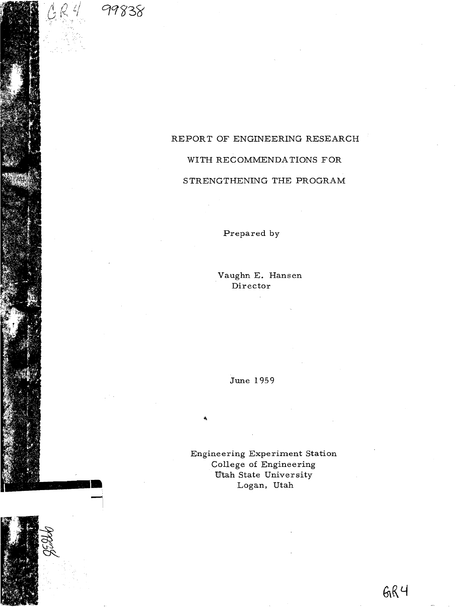

# REPORT OF ENGINEERING RESEARCH

# WITH RECOMMENDA TIONS FOR

#### STRENGTHENING THE PROGRAM

Prepared by

Vaughn E. Hansen Director

June 1959

Engineering Experiment Station College of Engineering Utah State University Logan, Utah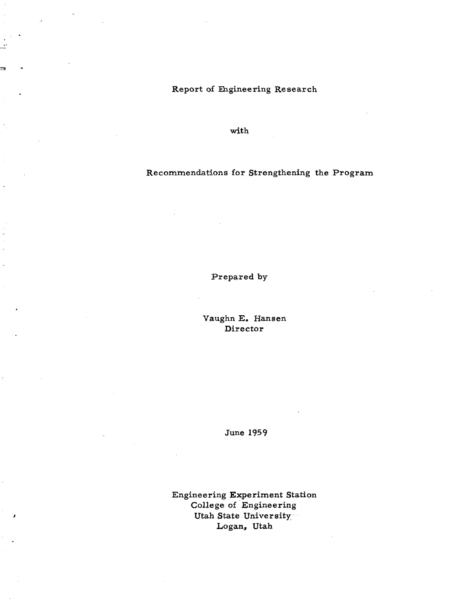# Report of Ehgineering Research

with

# Recommendations for Strengthening the Program

Prepared by

Vaughn **E.** Hansen Director

June 1959

Engineering Experiment Station College of Engineering Utah State University Logan, Utah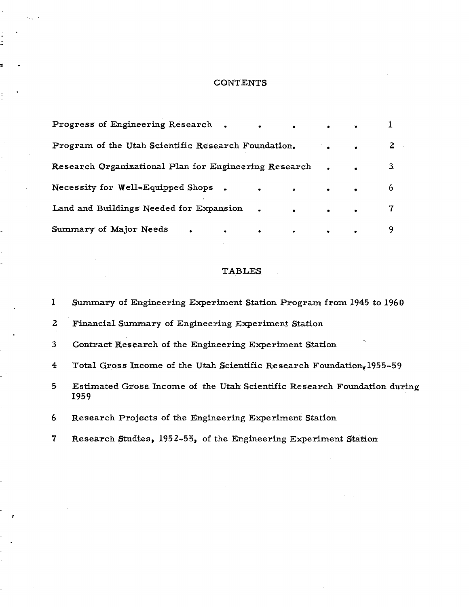#### **CONTENTS**

| Progress of Engineering Research.<br>$\bullet$ .<br><br><br><br><br><br><br><br><br><br><br><br><br><br><br><br>$\bullet$ | $\bullet$ . The set of $\bullet$ |                                       |   |
|---------------------------------------------------------------------------------------------------------------------------|----------------------------------|---------------------------------------|---|
| Program of the Utah Scientific Research Foundation.                                                                       |                                  | $\bullet$                             |   |
| Research Organizational Plan for Engineering Research                                                                     |                                  | $\bullet$ and $\bullet$               |   |
| Necessity for Well-Equipped Shops.<br>$\bullet\qquad\qquad\bullet\qquad\bullet\qquad\bullet\qquad\bullet$                 |                                  |                                       | 6 |
| Land and Buildings Needed for Expansion<br>$\bullet$ and the state $\bullet$<br>$\bullet$                                 |                                  | $\bullet$ and $\bullet$ and $\bullet$ |   |
| Summary of Major Needs<br>$\bullet \qquad \qquad \bullet \qquad \bullet$<br>$\bullet$ and the set of $\bullet$            |                                  |                                       |   |

#### **TABLES**

 $\mathbf{1}$ Summary of Engineering Experiment Station Program from 1945 to 1960  $\mathbf{z}$ Financial Summary of Engineering Experiment Station  $3<sup>1</sup>$ Contract Research of the Engineering Experiment Station  $\overline{\mathbf{4}}$ Total Gross Income of the Utah Scientific Research Foundation, 1955-59  $5<sub>5</sub>$ Estimated Gross Income of the Utah Scientific Research Foundation during 1959 6 Research Projects of the Engineering Experiment Station

Research Studies, 1952-55, of the Engineering Experiment Station  $\overline{7}$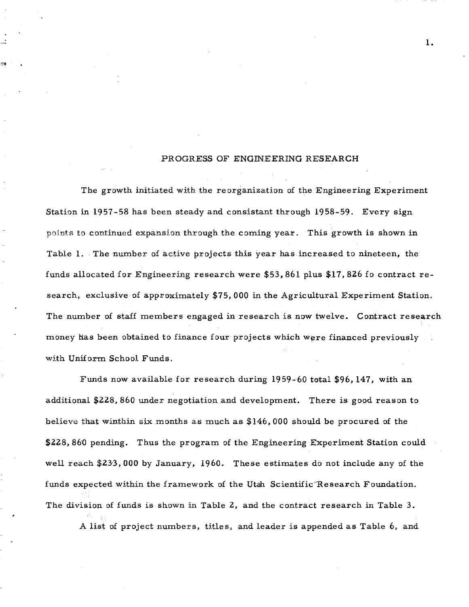#### PROGRESS OF ENGINEERING RESEARCH

The growth initiated with the reorganization of the Engineering Experiment Station in 1957-58 has been steady and consistant through 1958-59. Every sign points to continued expansion through the coming year. This growth is shown in Table 1. The number of active projects this year has increased to nineteen, the funds allocated for Engineering research were \$53, 861 plus \$17, 8Z6 fo contract research, exclusive of approximately \$75,000 in the Agricultural Experiment Station. The number of staff members engaged in research is now twelve. Contract research money has been obtained to finance four projects which were financed previously with Uniform School Funds.

Funds now available for research during 1959-60 total \$96,147, with an additional \$ZZ8, 860 under negotiation and development. There is good reason to believe that winthin six months as much as  $$146,000$  should be procured of the \$228,860 pending. Thus the program of the Engineering Experiment Station could well reach \$23'3, 000 by January, 1960. These estimates do not include any of the funds expected within the framework of the Utah Scientific Research Foundation. The division of funds is shown in Table 2, and the contract research in Table 3.

A list of project numbers, titles, and leader is appended as Table 6, and

1.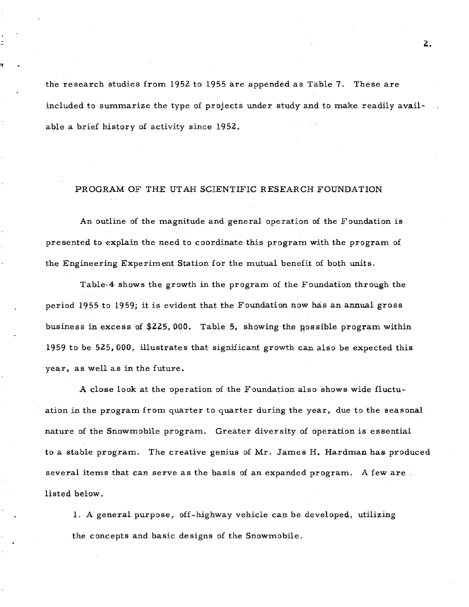the research studies from 1952 to 1955 are appended as Table 7. These are included to summarize the type of projects under study and to make readily available a brief history of activity since 1952.

#### PROGRAM OF THE UTAH SCIENTIFIC RESEARCH FOUNDATION

An outline of the magnitude and general operation of the Foundation is presented to 'explain the need to coordinate this program with the program of the Engineering Experiment Station for the mutual benefit of both units.

Table,4 shows the growth in the program of the Foundation through the period 1955 to 1959; it is evident that the Foundation now has an annual gross business in excess of  $$225,000$ . Table 5, showing the possible program within 1959 to be 525,000, illustrates that significant growth can also be expected this year, as well as in the future.

A close look at the operation of the Foundation also shows wide fluctuation in the program from quarter to quarter during the year, due to the seasonal nature of the Snowmobile program. Greater diversity of operation is essential to a stable program. The creative genius of Mr. James H. Hardman has produced several items that can serve as the basis of an expanded program. A few are listed below.

1. A general purpose, off-highway vehicle can be developed, utilizing the concepts and basic designs of the Snowmobile.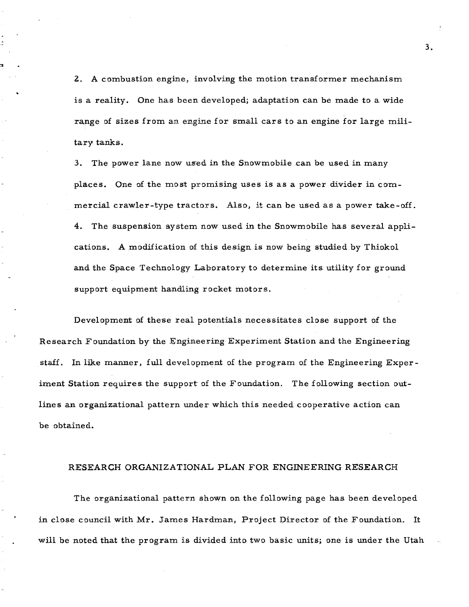2. A combustion engine, involving the motion transformer mechanism is a reality. One has been developed; adaptation can be made to a wide range of sizes from an engine for small cars to an engine for large military tanks.

3. The power lane now used in the Snowmobile can be used in many places. One of the most promising uses is as a power divider in commercial crawler-type tractors. Also, it can be used as a power take-off. 4. The suspension system now used in the Snowmobile has several applications. A modification of this design is now being studied by Thiokol and the Space Technology Laboratory to determine its utility for ground support equipment handling rocket motors.

Development of these real potentials necessitates close support of the Research Foundation by the Engineering Experiment Station and the Engineering staff. In like manner, full development of the program of the Engineering Experiment Station requires the support of the Foundation. The following section outlines an organizational pattern under which this needed cooperative action can be obtained.

#### RESEARCH ORGANIZATIONAL PLAN FOR ENGINEERING RESEARCH

The organizational pattern shown on the following page has been developed in close council with Mr. James Hardman, Project Director of the Foundation. It will be noted that the program is divided into two basic units; one is under the Utah

3.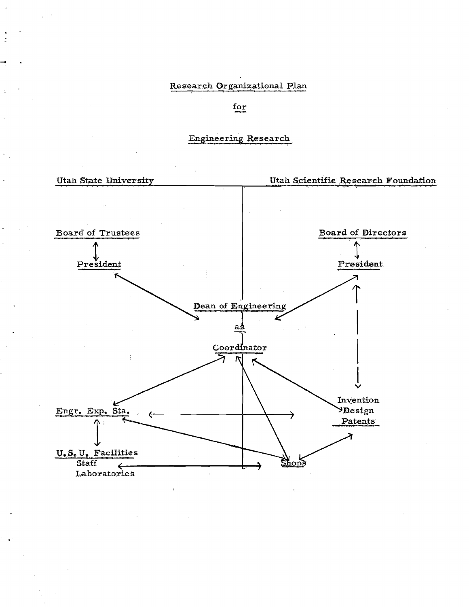# Research Organizational Plan

for

### Engineering Research

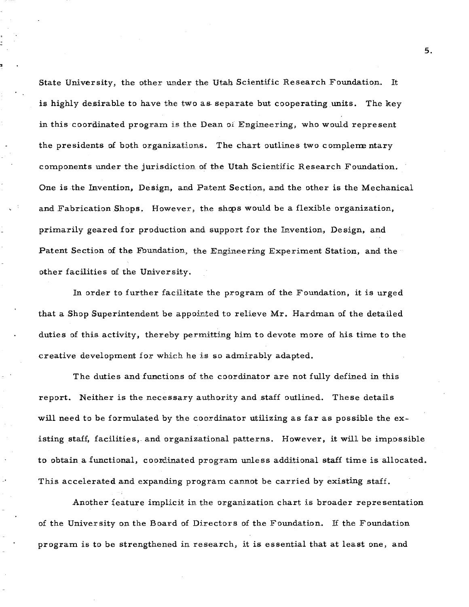State University, the other under the Utah Scientific Research Foundation. It is highly desirable to have the two as separate but cooperating units. The key in this coordinated program is the Dean of Engineering, who would represent the presidents of both organizations. The chart outlines two complementary components under the jurisdiction of the Utah Scientific Research Foundation. One is the Invention, Design, and Patent Section, and the other is the Mechanical and Fabrication Shops. However, the shops would be a flexible organization, primarily geared for production and support for the Invention, Design, and Patent Section of the Foundation, the Engineering Experiment Station, and the other facilities of the University.

In order to further facilitate the program of the Foundation, it is urged that a Shop Superintendent be appointed to relieve Mr. Hardman of the detailed duties of this activity, thereby permitting him to devote more of his time to the creative development for which he is so admirably adapted.

The duties and functions of the coordinator are not fully defined in this report. Neither is the necessary authority and staff outlined. These details will need to be formulated by the coordinator utilizing as far as possible the existing staff, facilities, and organizational patterns. However, it will be impossible to obtain a functional, coordinated program unless additional staff time is allocated. This accelerated and expanding program cannot be carried by existing staff.

Another feature implicit in the organization chart is broader representation of the University on the Board of Directors of the Foundation. If the Foundation program isto be strengthened in research, it is essential that at least one, and

5.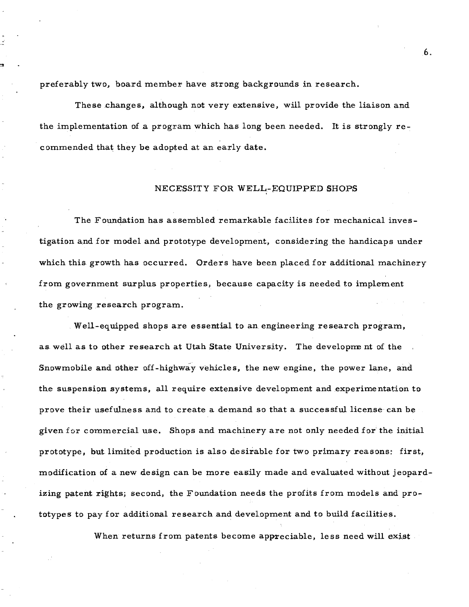preferably two, board member have strong backgrounds in research.

These changes, although not very extensive, will provide the liaison and the implementation of a program which has long been needed. It is strongly  $re$ commended that they be adopted at an early date.

#### NECESSITY FOR WELL-EQUIPPED SHOPS

The Foundation has assembled remarkable facilites for mechanical investigation and for model and prototype development, considering the handicaps under which this growth has occurred. Orders have been placed for additional machinery from government surplus properties, because capacity is needed to implement the growing research program.

Well-equipped shops are essential to an engineering research program, as well as to other research at Utah State University. The development of the Snowmobile and other off-highway vehicles, the new engine, the power lane, and the suspension systems, all require extensive development and experimentation to prove their usefulness and to create a demand so that a successful license- can be given for commercial use. Shops and machinery are not only needed for the initial prototype, but limited production is also desirable for two primary reasons: first, modification of a new design can be more easily made and evaluated without jeopardizing patent rights; second, the Foundation needs the profits from models and prototypes to pay for additional research and deveLopment and to build facilities.

When returns from patents become appreciable, less need will exist.

6.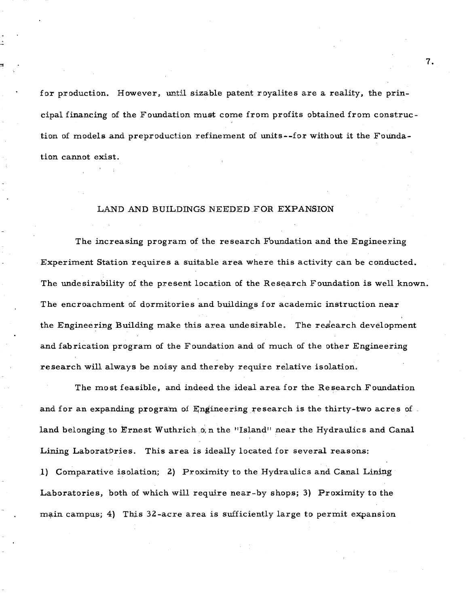for production. However, until sizable patent royalites are a reality, the principal financing of the Foundation must come from profits obtained from construction of models and preproduction refinement of units--for without it the Foundation cannot exist.

#### LAND AND BUILDINGS NEEDED .FOR EXPANSION

The increasing program of the research Foundation and the Engineering Experiment Station requires a suitable area where this activity can be conducted. The undesirability of the present location of the Research Foundation is well known. The encroachment of dormitories and buildings for academic instruction near the Engineering Building make this area undesirable. The research development and fabrication program of the Foundation and of much of the other Engineering research will always be noisy and thereby require relative isolation.

The most feasible, and indeed the ideal area for the Research Foundation and for an expanding program of  $\mathbb{F}_n$  gineering research is the thirty-two acres of land belonging to Ernest Wuthrich.o; n the "Island" near the Hydraulics and Canal Lining LaboratDries. This area is ideally located for several reasons: 1) Comparative isolation; 2) Proximity to the Hydraulics and Canal Lining Laboratories, both of which will require near-by shops; 3) Proximity to the main campus; 4) This 32-acre area is sufficiently large to permit expansion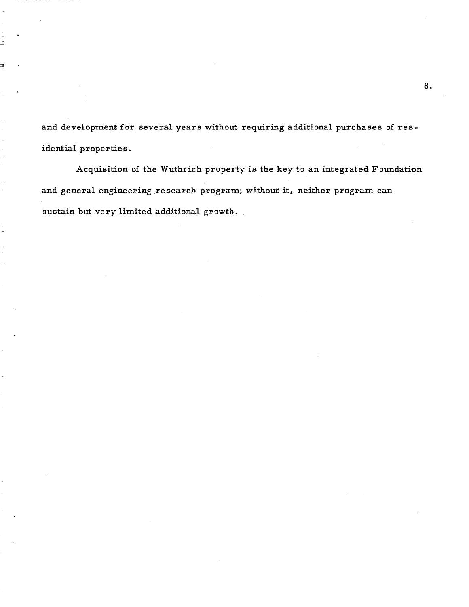and development for several years without requiring additional purchases of residential properties.

Acquisition of the Wuthrich property is the key to an integrated Foundation and general engineering research program; without it, neither program can sustain but very limited additional growth.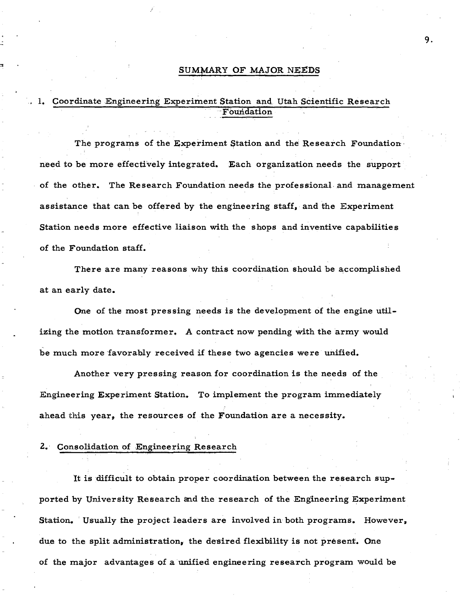#### SUMMARY OF MAJOR NEEDS

# 1. Coordinate Engineering Experiment Station and Utah Scientific Research Foundation

The programs of the Experiment Station and the Research Foundation need to be more effectively integrated. Each organization needs the support of the other. The Research Foundation needs the professional. and management assistance that can be offered by the engineering staff, and the Experiment Station needs more effective liaison with the shops and inventive capabilities of the Foundation staff.

There are many reasons why this coordination should be accomplished at an early date.

One of the most pressing needs is the development of the engine utilizing the motion transformer. A contract now pending with the army would be much more favorably received if these two agencies were unified.

Another very pressing reason for coordination is the needs of the Engineering Experiment Station. To implement the program immediately ahead this year, the resources of the Foundation are a necessity.

#### 2.· Consolidation of Engineering Research

1t is difficult to obtain proper coordination between the research supported by University Research and the research of the Engineering Experiment Station. Usually the project leaders are involved in both programs. However, due to the split administration, the desired flexibility is not present. One of the major advantages of a unified engineering research program would be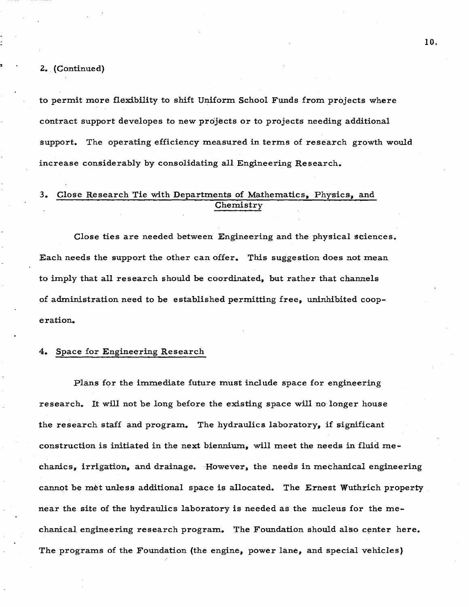#### $2.$  (Continued)

to permit more flexibility to shift Uniform. School Funds from projects where contract support developes to new projects or to projects needing additional support. The operating efficiency measured in terms of research growth would increase considerably by consolidating all Engineering Research.

# 3. Close Research Tie with Departments of Mathematics, Physics, and Chemistry

Close ties are needed between Engineering and the physical sciences. Each needs the support the other can offer. This suggestion does not mean to imply that all research should be coordinated, but rather that channels of administration need to be established permitting free, uninhibited cooperation.

#### Space for Engineering Research

Plans for the immediate future must include space for engineering research. It will not be long before the existing space will no longer house the research staff and program. The hydraulics laboratory, if significant construction is initiated in the next biennium, will meet the needs in fluid mechanics, irrigation, and drainage. However. the needs in mechanical engineering cannot be met unless additional space is allocated. The Ernest Wuthrich property near the site of the hydraulics laboratory is needed as the nucleus for the mechanical engineering research program. The Foundation should also center here. The programs of the Foundation (the engine, power lane, and special vehicles)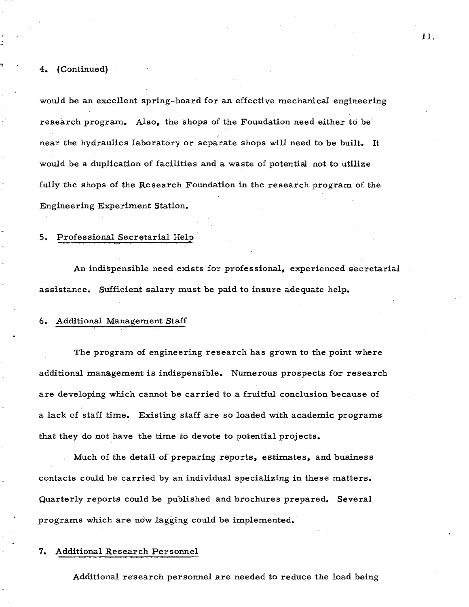#### 4. (Continued)

would he an excellent spring-board for an effective mechanical engineering research program. Also, the shops of the Foundation need either to be near the hydraulics laboratory or separate shops will need to be built. It would be a duplication of facilities and a waste of potential not to utilize fully the shops of the Research Foundation in the research program of the Engineering Experiment Station.

#### 5. Professional Secretarial Help

An indispensible need exists for professional., experienced secretarial assistance. Sufficient salary must be paid to insure adequate help.

#### 6. Additional Management Staff

The program of engineering research has grown to the point where additional management is indispensible. Numerous prospects for research are developing which cannot be carried to a fruitful conclusion because of a lack of staff time. Existing staff are so loaded with academic programs that they do not have the time to devote to potential projects.

Much of the detail of preparing reports, estimates, and business contacts could be carried by an individual specializing in these matters. Quarterly reports could be published and brochures prepared. Several programs which are ndw lagging could be implemented.

#### 7. Additional Research Personnel

Additional research personnel are needed to reduce the load being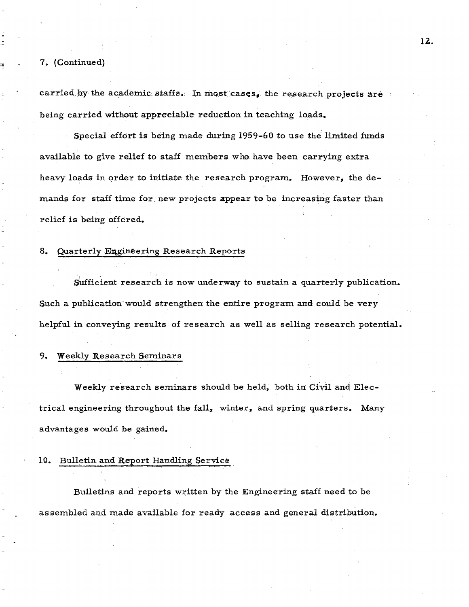7~ (Continued)

carried by the academic staffs. In most cases, the research projects are being carried without appreciable reduction in teaching loads.

Special effort is being made during 1959-60 to use the limited funds available to give relief to staff members who have been carrying extra heavy loads in order to initiate the research program. However. the demands for staff time for new projects appear to be increasing faster than relief is being offered.

#### 8. Quarterly Engineering Research Reports

Sufficient research is now underway to sustain a quarterly publication. Such a publication would strengthen the entire program and could be very helpful in conveying results of research as well as selling research potential.

#### 9. Weekly Research Seminars

Weekly research seminars should be held, both in Civil and Electrical engineering throughout the fall, winter, and spring quarters. Many advantages would be gained.

#### 10. Bulletin and Report Handling Service

Bulletins and reports written by the Engineering staff need to be as sembled and made available for ready access and general distribution.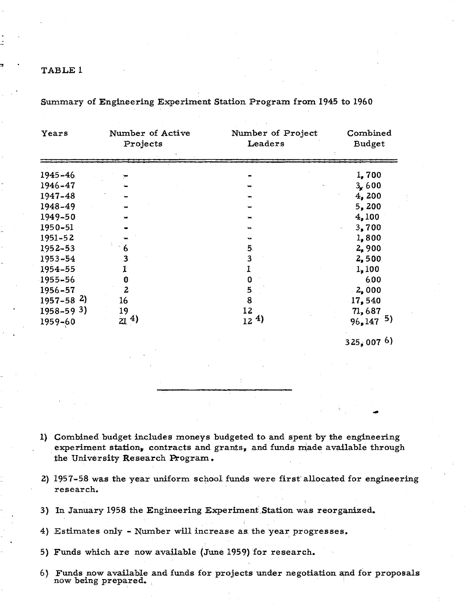| Years                      | Number of Active<br>Projects | Number of Project<br>Leaders | Combined<br>Budget |
|----------------------------|------------------------------|------------------------------|--------------------|
| $1945 - 46$                |                              |                              | 1,700              |
| 1946-47                    |                              | ₩                            | 3/600              |
| 1947-48                    |                              |                              | 4,200              |
| 1948-49                    |                              |                              | 5,200              |
| 1949-50                    |                              |                              | 4,100              |
| 1950-51                    |                              |                              | 3,700              |
| $1951 - 52$                |                              |                              | 1,800              |
| 1952-53                    | 6                            | 5.                           | 2,900              |
| 1953-54                    | 3                            | $\mathbf{3}$                 | 2,500              |
| 1954-55                    |                              |                              | 1,100              |
| 1955-56                    | O                            | O                            | 6.00               |
| 1956-57                    | 2                            | 5                            | 2,000              |
| $1957 - 58$ <sup>2</sup> ) | 16                           | 8                            | 17,540             |
| $1958 - 593$               | 19                           | 12                           | 71,687             |
| 1959-60                    | $21^{4}$                     | $12^{4}$                     | 5)<br>96,147       |

Summary of Engineering Experiment Station Program from. 1945 to 1960

325,007 6)

1) Combined budget includes moneys budgeted to and spent by the engineering experiment station, contracts and grants, and funds made available through the University Research Program.

- Z) 1957-5.8 was the year uniform school funds were first' allocated for engineering research.
- 3) In January 1958 the Engineering Experiment Station was reorganized.
- 4) Estimates only Number will increase as the year progresses.
- 5) Funds which are now available (June 1959) for research.
- 6) Funds now available and funds for projects under negotiation and for proposals now being prepared.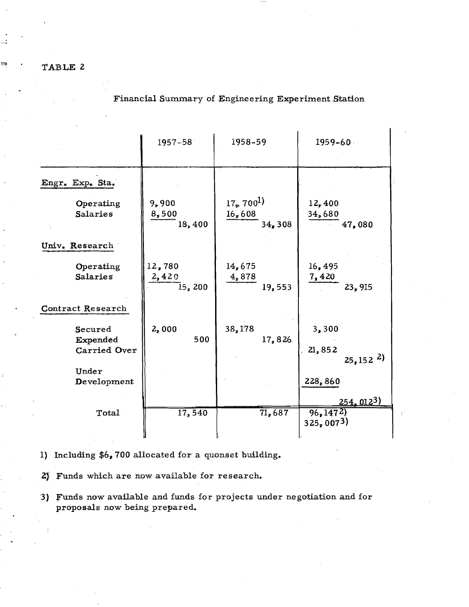Financial Summary of Engineering Experiment Station

|                                                 | $1957 - 58$               | 1958-59                                         | $1959 - 60$                                                        |
|-------------------------------------------------|---------------------------|-------------------------------------------------|--------------------------------------------------------------------|
| Engr. Exp. Sta.<br>Operating<br><b>Salaries</b> | 9,900<br>8,500<br>18,400  | $17_{*}$ 700 <sup>1</sup> )<br>16,608<br>34,308 | 12,400<br>34,680<br>47,080                                         |
| Univ. Research<br>Operating<br>Salaries         | 12,780<br>2,420<br>15,200 | 14,675<br>4,878<br>19,553                       | 16, 495<br>7,420<br>23,915                                         |
| <b>Contract Research</b><br>Secured<br>Expended | 2,000<br>500              | 38,178<br>17,826                                | 3,300                                                              |
| Carried Over<br>Under<br>Development            |                           |                                                 | 21,852<br>$25, 152$ <sup>2</sup> )<br>228,860<br><u>254, 0123)</u> |
| Total                                           | 17,540                    | $\overline{71,687}$                             | 96, 1472<br>325,0073                                               |

1) Including  $$6_*700$  allocated for a quonset building.

2)' Funds which are now available for research.

3) Funds now available and funds for projects under negotiation and for proposals now being prepared.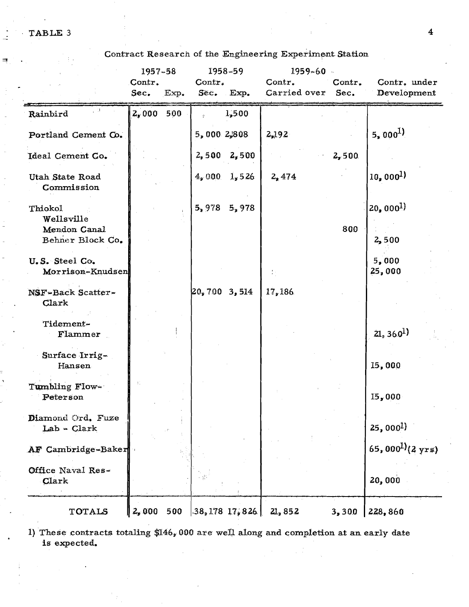Contract Research of the Engineering Experiment Station

|                                    | $1957 - 58$ |      |              | $1958 - 59$        | $1959 - 60$  |        |                                       |
|------------------------------------|-------------|------|--------------|--------------------|--------------|--------|---------------------------------------|
|                                    | Contr.      |      | Contr.       |                    | Contr.       | Contr. | Contr. under                          |
|                                    | Sec.        | Exp. |              | Sec. Exp.          | Carried over | Sec.   | Development                           |
| Rainbird                           | $2,000$ 500 |      |              | 1,500              |              |        |                                       |
| Portland Cement Co.                |             |      | 5,000 2,808  |                    | 2,192        |        | $5,000^{1}$                           |
| Ideal Cement Co.                   |             |      | 2,500        | 2,500              |              | 2,500  |                                       |
| Utah State Road<br>Commission      |             |      | 4,000        | 1, 526             | 2,474        |        | $10,000^{1}$                          |
| Thiokol<br>Wellsville              |             |      | 5,978        | 5,978              |              |        | $20,000^{1}$                          |
| Mendon Canal<br>Behner Block Co.   |             |      |              |                    |              | 800    | 2,500                                 |
| U.S. Steel Co.<br>Morrison-Knudsen |             |      |              |                    |              |        | 5,000<br>25,000                       |
| NSF-Back Scatter-<br>Clark         |             |      | 20,700 3,514 |                    | 17,186       |        |                                       |
| Tidement-<br>Flammer               |             |      |              |                    |              |        | $21, 360^1$                           |
| Surface Irrig-<br>Hansen           |             |      |              |                    |              |        | 15,000                                |
| Tumbling Flow-<br>Peterson         | Ŧ.          |      |              |                    |              |        | 15,000                                |
| Diamond Ord. Fuze<br>Lab - Clark   |             |      |              |                    |              |        | $25,000^{1}$                          |
| AF Cambridge-Baker                 |             |      |              |                    |              |        | 65,000 <sup>1</sup> $(2 \text{ yrs})$ |
| Office Naval Res-<br>Clark         |             |      |              |                    |              |        | 20,000                                |
| TOTALS                             | 2,000       | 500  |              | $-38,178$ $17,826$ | 21,852       | 3,300  | 228,860                               |

1) These contracts totaling \$146,000 are well along and completion at an early date is expected.

 $\overline{4}$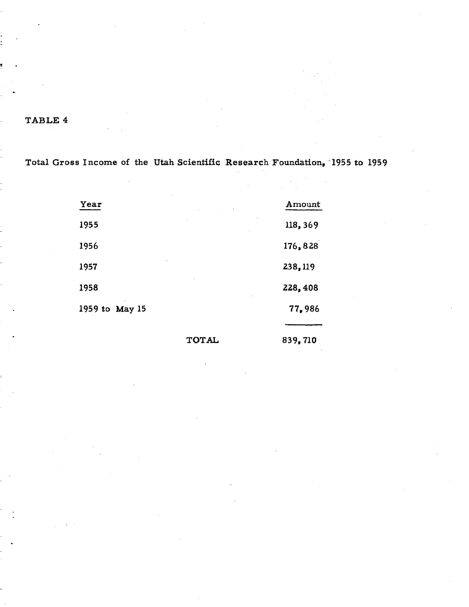Total Gross Income of the Utah Scientific Research Foundation, 1955 to 1959

| Year           | $\sim$ $\sim$ | Amount  |
|----------------|---------------|---------|
| 1955           |               | 118,369 |
| 1956           |               | 176,828 |
| 1957           |               | 238,119 |
| 1958           |               | 228,408 |
| 1959 to May 15 |               | 77,986  |
|                |               |         |

TOTAL 839.710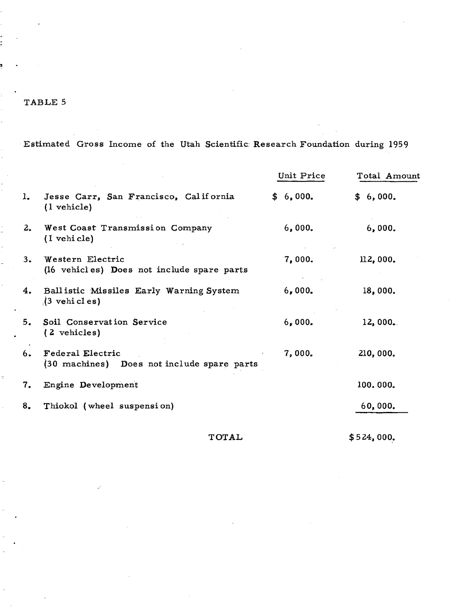Estimated Gross Income of the Utah Scientific Research Foundation during 1959

|     |                                                                              | Unit Price | Total Amount |
|-----|------------------------------------------------------------------------------|------------|--------------|
| ı.  | Jesse Carr, San Francisco, California<br>(1 vehicle)                         | \$6,000.   | \$6,000.     |
| 2.  | West Coast Transmission Company<br>(1 vehicle)                               | 6,000.     | 6,000.       |
| 3.1 | Western Electric<br>(16 vehicles) Does not include spare parts               | 7,000.     | 112,000.     |
| 4.  | Ballistic Missiles Early Warning System<br>$(3 \text{ vehi } c1 \text{ es})$ | 6,000.     | 18,000.      |
| 5.  | Soil Conservation Service<br>(2 vehicles)                                    | 6,000.     | 12,000.      |
| 6.  | Federal Electric<br>(30 machines) Does not include spare parts               | 7,000.     | 210,000.     |
| 7.  | Engine Development                                                           |            | 100.000.     |
| 8,  | Thiokol (wheel suspension)                                                   |            | 60,000.      |

**TOTAL** 

 $$524,000.$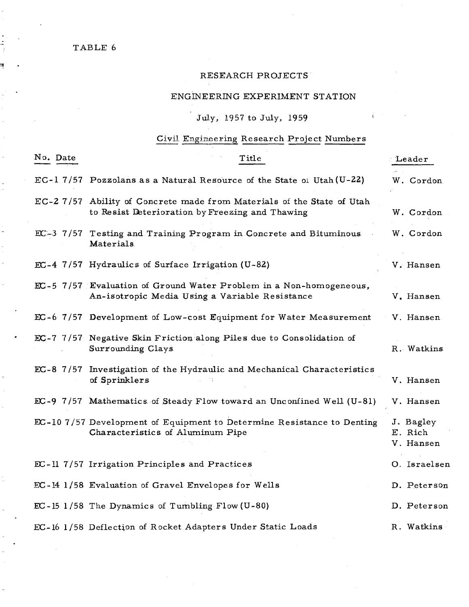$\overline{a}$ 

# RESEARCH PROJECTS

# ENGINEERING EXPERIMENT STATION

Ť.

# July, 1957 to July, 1959

# Civil Engineering Research Project Numbers

| No. Date | Title                                                                                                                    | Leader                            |
|----------|--------------------------------------------------------------------------------------------------------------------------|-----------------------------------|
|          | $EC-1$ 7/57 Pozzolans as a Natural Resource of the State of Utah (U-22)                                                  | W. Cordon                         |
|          | EC-27/57 Ability of Concrete made from Materials of the State of Utah<br>to Resist Deterioration by Freezing and Thawing | W. Cordon                         |
|          | EC-3 7/57 Testing and Training Program in Concrete and Bituminous<br>Materials                                           | W. Cordon                         |
|          | EC-4 7/57 Hydraulics of Surface Irrigation (U-82)                                                                        | V. Hansen                         |
|          | EC-5 7/57 Evaluation of Ground Water Problem in a Non-homogeneous,<br>An-isotropic Media Using a Variable Resistance     | V. Hansen                         |
|          | EC-6 7/57 Development of Low-cost Equipment for Water Measurement                                                        | V. Hansen                         |
|          | EC-7 7/57 Negative Skin Friction along Piles due to Consolidation of<br>Surrounding Clays                                | R. Watkins                        |
|          | EC-8 7/57 Investigation of the Hydraulic and Mechanical Characteristics<br>of Sprinklers                                 | V. Hansen                         |
|          | EC-9 7/57 Mathematics of Steady Flow toward an Unconfined Well (U-81)                                                    | V. Hansen                         |
|          | EC-10 7/57 Development of Equipment to Determine Resistance to Denting<br>Characteristics of Aluminum Pipe               | J. Bagley<br>E. Rich<br>V. Hansen |
|          | EC-Il 7/57 Irrigation Principles and Practices                                                                           | O. Israelsen                      |
|          | EC-14 1/58 Evaluation of Gravel Envelopes for Wells                                                                      | D. Peterson                       |
|          | $EC - 15$ 1/58 The Dynamics of Turnbling Flow (U-80)                                                                     | D. Peterson                       |
|          | EC-16 1/58 Deflection of Rocket Adapters Under Static Loads                                                              | R. Watkins                        |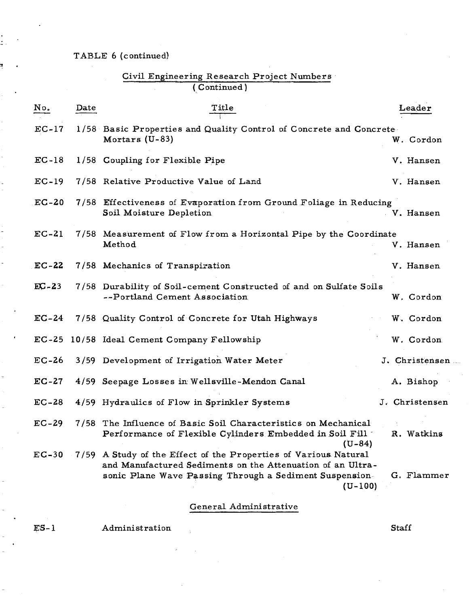# TABLE 6 (continued)

ż.

3

# Civil Engineering Research Project Numbers' (Continued)

| No.     | Date | Title                                                                                                                                                                                                 | Leader          |
|---------|------|-------------------------------------------------------------------------------------------------------------------------------------------------------------------------------------------------------|-----------------|
| $EC-17$ |      | 1/58 Basic Properties and Quality Control of Concrete and Concrete<br>Mortars (U-83)                                                                                                                  | W. Cordon       |
| $EC-18$ |      | 1/58 Coupling for Flexible Pipe                                                                                                                                                                       | V. Hansen       |
| $EC-19$ |      | 7/58 Relative Productive Value of Land                                                                                                                                                                | V. Hansen       |
| $EC-20$ |      | 7/58 Effectiveness of Evaporation from Ground Foliage in Reducing<br>Soil Moisture Depletion                                                                                                          | V. Hansen       |
| $EC-21$ |      | 7/58 Measurement of Flow from a Horizontal Pipe by the Coordinate<br>Method                                                                                                                           | V. Hansen       |
| $EC-22$ |      | 7/58 Mechanics of Transpiration                                                                                                                                                                       | V. Hansen       |
| $EC-23$ |      | 7/58 Durability of Soil-cement Constructed of and on Sulfate Soils<br>--Portland Cement Association                                                                                                   | W. Cordon       |
| $EC-24$ |      | 7/58 Quality Control of Concrete for Utah Highways                                                                                                                                                    | W. Cordon       |
| $EC-25$ |      | 10/58 Ideal Cement Company Fellowship                                                                                                                                                                 | W. Cordon       |
| $EC-26$ |      | 3/59 Development of Irrigation Water Meter                                                                                                                                                            | J. Christensen. |
| $EC-27$ |      | 4/59 Seepage Losses in Wellsville-Mendon Canal                                                                                                                                                        | A. Bishop       |
| $EC-28$ |      | 4/59 Hydraulics of Flow in Sprinkler Systems                                                                                                                                                          | J. Christensen  |
| $EC-29$ | 7/58 | The Influence of Basic Soil Characteristics on Mechanical<br>Performance of Flexible Cylinders Embedded in Soil Fill<br>$(U-84)$                                                                      | R. Watkins      |
| $EC-30$ |      | 7/59 A Study of the Effect of the Properties of Various Natural<br>and Manufactured Sediments on the Attenuation of an Ultra-<br>sonic Plane Wave Passing Through a Sediment Suspension-<br>$(U-100)$ | G. Flammer      |

# General Administrative

 $ES-1$ 

Administration

Staff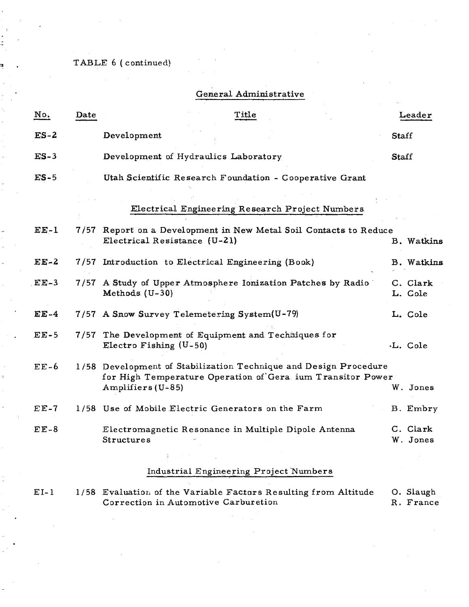TABLE 6 (continued)

# General Administrative

| No.       | Date | Title                                                                                                                                                 |       | Leader               |
|-----------|------|-------------------------------------------------------------------------------------------------------------------------------------------------------|-------|----------------------|
| $ES-2$    |      | Development                                                                                                                                           | Staff |                      |
| $ES-3$    |      | Development of Hydraulics Laboratory                                                                                                                  | Staff |                      |
| $ES-5$    |      | Utah Scientific Research Foundation - Cooperative Grant                                                                                               |       |                      |
|           |      | Electrical Engineering Research Project Numbers                                                                                                       |       |                      |
| $EE-1$    | 7/57 | Report on a Development in New Metal Soil Contacts to Reduce<br>Electrical Resistance (U-21)                                                          |       | B. Watkins           |
| $EE-2$    |      | 7/57 Introduction to Electrical Engineering (Book)                                                                                                    |       | B. Watkins           |
| $EE-3$    |      | 7/57 A Study of Upper Atmosphere Ionization Patches by Radio<br>Methods (U-30)                                                                        |       | C. Clark<br>L. Cole  |
| $EE-4$    |      | 7/57 A Snow Survey Telemetering System(U-79)                                                                                                          |       | L. Cole              |
| $EE-5$    |      | 7/57 The Development of Equipment and Techniques for<br>Electro Fishing $(U-50)$                                                                      |       | .L. Cole             |
| $EE-6$    |      | 1/58 Development of Stabilization Technique and Design Procedure<br>for High Temperature Operation of Gera ium Transitor Power<br>Amplifiers $(U-85)$ |       | W. Jones             |
| $E E - 7$ |      | 1/58 Use of Mobile Electric Generators on the Farm                                                                                                    |       | B. Embry             |
| $EE-8$    |      | Electromagnetic Resonance in Multiple Dipole Antenna<br>Structures                                                                                    |       | C. Clark<br>W. Jones |
|           |      | Industrial Engineering Project Numbers                                                                                                                |       |                      |

1/58 Evaluation of the Variable Factors Resulting from Altitude O. Slaugh  $EI-1$ Correction in Automotive Carburetion R. France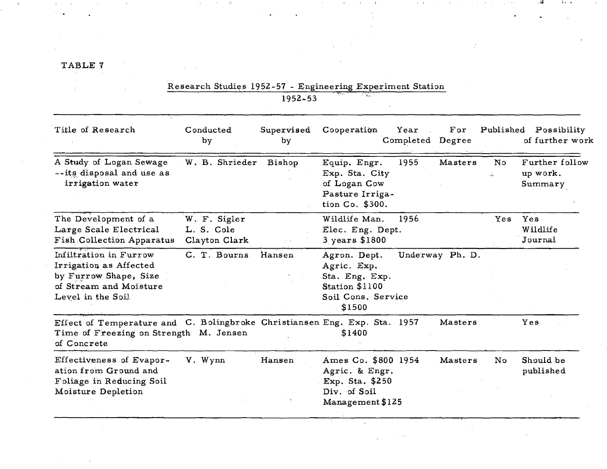$\mathcal{L}^{\text{max}}_{\text{max}}$ 

 $\ddot{\phantom{a}}$ 

 $\mathcal{O}(\mathbb{Z}^2)$ 

 $\Delta \sim 1$ 

 $\sim$ 

 $\mathbf{u}(\mathbf{u})$  and  $\mathbf{u}(\mathbf{u})$  are small that in the following the contribution

the control of the control of the control of

 $\mathcal{F}^{\text{in}}_{\text{in}}$  ,  $\mathcal{F}^{\text{in}}_{\text{out}}$ 

 $\mathbf{H}^{\pm}$ 

|                                                                                                                                    | Research Studies 1952-57 - Engineering Experiment Station | 1952-53          |                                                                                                 |                          |                 |           |                                       |
|------------------------------------------------------------------------------------------------------------------------------------|-----------------------------------------------------------|------------------|-------------------------------------------------------------------------------------------------|--------------------------|-----------------|-----------|---------------------------------------|
| Title of Research                                                                                                                  | Conducted<br>by                                           | Supervised<br>by | Cooperation                                                                                     | Year<br>Completed Degree | For             | Published | Possibility<br>of further work        |
| A Study of Logan Sewage<br>--its disposal and use as<br>irrigation water                                                           | W. B. Shrieder                                            | Bishop           | Equip. Engr.<br>Exp. Sta. City<br>of Logan Cow<br>Pasture Irriga-<br>tion Co. \$300.            | 1955                     | Masters         | No<br>d.  | Further follow<br>up work.<br>Summary |
| The Development of a<br>Large Scale Electrical<br>Fish Collection Apparatus                                                        | W. F. Sigler<br>L. S. Cole<br>Clayton Clark               |                  | Wildlife Man.<br>Elec. Eng. Dept.<br>3 years \$1800                                             | 1956                     |                 | Yes       | Yes<br>Wildlife<br>Journal            |
| Infiltration in Furrow<br>Irrigation as Affected<br>by Furrow Shape, Size<br>of Stream and Moisture<br>Level in the Soil           | C. T. Bourns                                              | Hansen           | Agron. Dept.<br>Agric. Exp.<br>Sta. Eng. Exp.<br>Station \$1100<br>Soil Cons. Service<br>\$1500 |                          | Underway Ph. D. |           |                                       |
| Effect of Temperature and C. Bolingbroke Christiansen Eng. Exp. Sta. 1957<br>Time of Freezing on Strength M. Jensen<br>of Concrete |                                                           |                  | \$1400                                                                                          |                          | Masters         |           | Yes                                   |
| Effectiveness of Evapor-<br>ation from Ground and<br>Foliage in Reducing Soil<br>Moisture Depletion                                | V. Wynn                                                   | Hansen           | Ames Co. \$800 1954<br>Agric. & Engr.<br>Exp. Sta. \$250<br>Div. of Soil<br>Management \$125    |                          | Masters         | No        | Should be<br>published                |

 $\sim 10^{-1}$ 

 $\sim 1-4$  .

and the contract and contract the process and the con-

 $\mathcal{L}^{\mathcal{L}}$ 

 $\sim 10^6$ 

 $\Delta_{\rm c}$ 

i ambal din ar⊵

 $\sim 100$ 

 $\sim 100$  km s  $^{-1}$ 

 $\bullet$  .

 $\sim 10^{-1}$ 

 $\sim 10^{11}$  and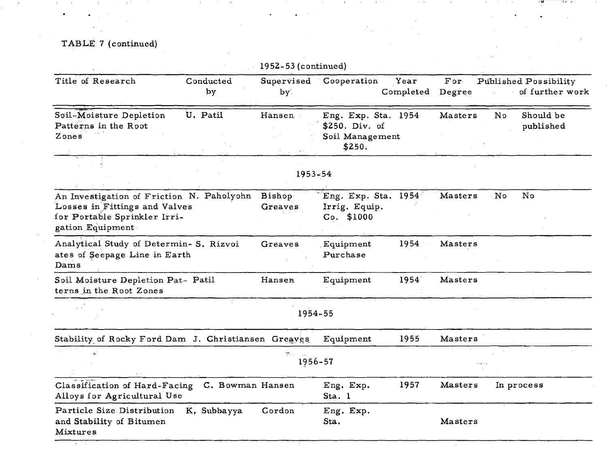TABLE 7 (continued)

| Conducted<br>by                                                                                            | Supervised<br>by.        | Cooperation                                                                                           | Year                                                     | For<br>Degree                                                                | Published Possibility<br>of further work |
|------------------------------------------------------------------------------------------------------------|--------------------------|-------------------------------------------------------------------------------------------------------|----------------------------------------------------------|------------------------------------------------------------------------------|------------------------------------------|
| U. Patil                                                                                                   | Hansen                   | \$250. Div. of<br>\$250.                                                                              |                                                          | Masters                                                                      | No<br>Should be<br>published             |
|                                                                                                            |                          |                                                                                                       |                                                          |                                                                              |                                          |
| An Investigation of Friction N. Paholyohn<br>Losses in Fittings and Valves<br>for Portable Sprinkler Irri- | <b>Bishop</b><br>Greaves | Irrig. Equip.<br>$Co.$ \$1000                                                                         |                                                          | Masters                                                                      | No<br>No                                 |
| Analytical Study of Determin- S. Rizvoi<br>ates of Seepage Line in Earth                                   | Greaves                  | Equipment<br>Purchase                                                                                 | 1954                                                     | Masters                                                                      |                                          |
| Soil Moisture Depletion Pat- Patil                                                                         | Hansen                   | Equipment                                                                                             | 1954                                                     | Masters                                                                      |                                          |
|                                                                                                            |                          |                                                                                                       |                                                          |                                                                              |                                          |
|                                                                                                            |                          | Equipment                                                                                             | 1955                                                     | Masters                                                                      |                                          |
|                                                                                                            | 현                        |                                                                                                       |                                                          |                                                                              |                                          |
| Alloys for Agricultural Use                                                                                |                          | Eng. Exp.<br>Sta. 1                                                                                   | 1957                                                     | Masters                                                                      | In process                               |
| K. Subbayya                                                                                                | Cordon                   | Eng. Exp.<br>Sta.                                                                                     |                                                          | Masters                                                                      |                                          |
|                                                                                                            |                          | Stability of Rocky Ford Dam J. Christiansen Greaves<br>Classification of Hard-Facing C. Bowman Hansen | $1952 - 53$ (continued)<br>1953-54<br>1954-55<br>1956-57 | Completed<br>Eng. Exp. Sta. 1954<br>Soil Management<br>Eng. Exp. Sta. $1954$ |                                          |